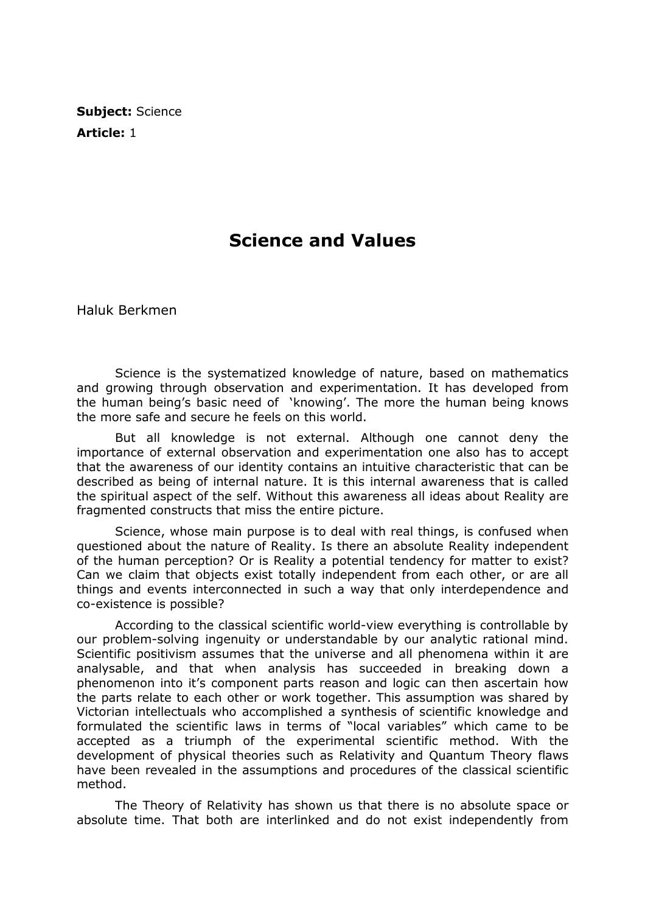Subject: Science Article: 1

## Science and Values

Haluk Berkmen

 Science is the systematized knowledge of nature, based on mathematics and growing through observation and experimentation. It has developed from the human being's basic need of 'knowing'. The more the human being knows the more safe and secure he feels on this world.

 But all knowledge is not external. Although one cannot deny the importance of external observation and experimentation one also has to accept that the awareness of our identity contains an intuitive characteristic that can be described as being of internal nature. It is this internal awareness that is called the spiritual aspect of the self. Without this awareness all ideas about Reality are fragmented constructs that miss the entire picture.

 Science, whose main purpose is to deal with real things, is confused when questioned about the nature of Reality. Is there an absolute Reality independent of the human perception? Or is Reality a potential tendency for matter to exist? Can we claim that objects exist totally independent from each other, or are all things and events interconnected in such a way that only interdependence and co-existence is possible?

 According to the classical scientific world-view everything is controllable by our problem-solving ingenuity or understandable by our analytic rational mind. Scientific positivism assumes that the universe and all phenomena within it are analysable, and that when analysis has succeeded in breaking down a phenomenon into it's component parts reason and logic can then ascertain how the parts relate to each other or work together. This assumption was shared by Victorian intellectuals who accomplished a synthesis of scientific knowledge and formulated the scientific laws in terms of "local variables" which came to be accepted as a triumph of the experimental scientific method. With the development of physical theories such as Relativity and Quantum Theory flaws have been revealed in the assumptions and procedures of the classical scientific method.

 The Theory of Relativity has shown us that there is no absolute space or absolute time. That both are interlinked and do not exist independently from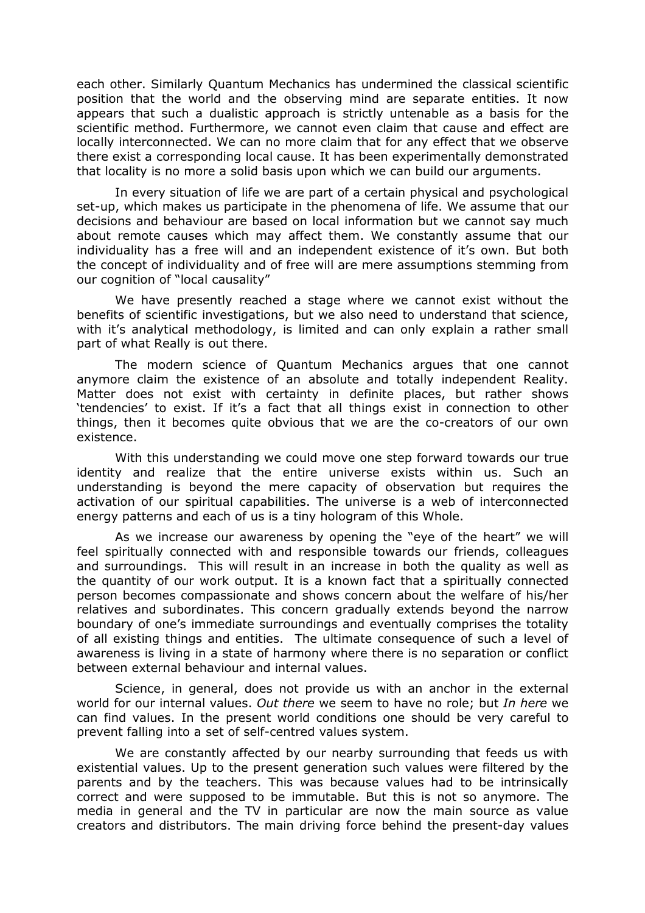each other. Similarly Quantum Mechanics has undermined the classical scientific position that the world and the observing mind are separate entities. It now appears that such a dualistic approach is strictly untenable as a basis for the scientific method. Furthermore, we cannot even claim that cause and effect are locally interconnected. We can no more claim that for any effect that we observe there exist a corresponding local cause. It has been experimentally demonstrated that locality is no more a solid basis upon which we can build our arguments.

 In every situation of life we are part of a certain physical and psychological set-up, which makes us participate in the phenomena of life. We assume that our decisions and behaviour are based on local information but we cannot say much about remote causes which may affect them. We constantly assume that our individuality has a free will and an independent existence of it's own. But both the concept of individuality and of free will are mere assumptions stemming from our cognition of "local causality"

 We have presently reached a stage where we cannot exist without the benefits of scientific investigations, but we also need to understand that science, with it's analytical methodology, is limited and can only explain a rather small part of what Really is out there.

 The modern science of Quantum Mechanics argues that one cannot anymore claim the existence of an absolute and totally independent Reality. Matter does not exist with certainty in definite places, but rather shows 'tendencies' to exist. If it's a fact that all things exist in connection to other things, then it becomes quite obvious that we are the co-creators of our own existence.

 With this understanding we could move one step forward towards our true identity and realize that the entire universe exists within us. Such an understanding is beyond the mere capacity of observation but requires the activation of our spiritual capabilities. The universe is a web of interconnected energy patterns and each of us is a tiny hologram of this Whole.

 As we increase our awareness by opening the "eye of the heart" we will feel spiritually connected with and responsible towards our friends, colleagues and surroundings. This will result in an increase in both the quality as well as the quantity of our work output. It is a known fact that a spiritually connected person becomes compassionate and shows concern about the welfare of his/her relatives and subordinates. This concern gradually extends beyond the narrow boundary of one's immediate surroundings and eventually comprises the totality of all existing things and entities. The ultimate consequence of such a level of awareness is living in a state of harmony where there is no separation or conflict between external behaviour and internal values.

 Science, in general, does not provide us with an anchor in the external world for our internal values. Out there we seem to have no role; but In here we can find values. In the present world conditions one should be very careful to prevent falling into a set of self-centred values system.

 We are constantly affected by our nearby surrounding that feeds us with existential values. Up to the present generation such values were filtered by the parents and by the teachers. This was because values had to be intrinsically correct and were supposed to be immutable. But this is not so anymore. The media in general and the TV in particular are now the main source as value creators and distributors. The main driving force behind the present-day values